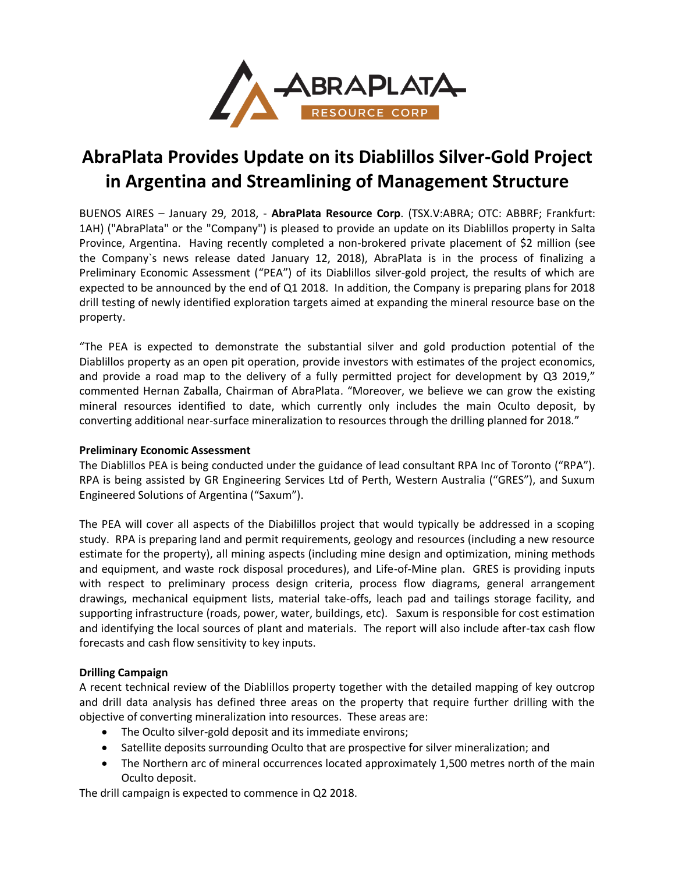

# **AbraPlata Provides Update on its Diablillos Silver-Gold Project in Argentina and Streamlining of Management Structure**

BUENOS AIRES – January 29, 2018, - **AbraPlata Resource Corp**. (TSX.V:ABRA; OTC: ABBRF; Frankfurt: 1AH) ("AbraPlata" or the "Company") is pleased to provide an update on its Diablillos property in Salta Province, Argentina. Having recently completed a non-brokered private placement of \$2 million (see the Company`s news release dated January 12, 2018), AbraPlata is in the process of finalizing a Preliminary Economic Assessment ("PEA") of its Diablillos silver-gold project, the results of which are expected to be announced by the end of Q1 2018. In addition, the Company is preparing plans for 2018 drill testing of newly identified exploration targets aimed at expanding the mineral resource base on the property.

"The PEA is expected to demonstrate the substantial silver and gold production potential of the Diablillos property as an open pit operation, provide investors with estimates of the project economics, and provide a road map to the delivery of a fully permitted project for development by Q3 2019," commented Hernan Zaballa, Chairman of AbraPlata. "Moreover, we believe we can grow the existing mineral resources identified to date, which currently only includes the main Oculto deposit, by converting additional near-surface mineralization to resources through the drilling planned for 2018."

# **Preliminary Economic Assessment**

The Diablillos PEA is being conducted under the guidance of lead consultant RPA Inc of Toronto ("RPA"). RPA is being assisted by GR Engineering Services Ltd of Perth, Western Australia ("GRES"), and Suxum Engineered Solutions of Argentina ("Saxum").

The PEA will cover all aspects of the Diabilillos project that would typically be addressed in a scoping study. RPA is preparing land and permit requirements, geology and resources (including a new resource estimate for the property), all mining aspects (including mine design and optimization, mining methods and equipment, and waste rock disposal procedures), and Life-of-Mine plan. GRES is providing inputs with respect to preliminary process design criteria, process flow diagrams, general arrangement drawings, mechanical equipment lists, material take-offs, leach pad and tailings storage facility, and supporting infrastructure (roads, power, water, buildings, etc). Saxum is responsible for cost estimation and identifying the local sources of plant and materials. The report will also include after-tax cash flow forecasts and cash flow sensitivity to key inputs.

# **Drilling Campaign**

A recent technical review of the Diablillos property together with the detailed mapping of key outcrop and drill data analysis has defined three areas on the property that require further drilling with the objective of converting mineralization into resources. These areas are:

- The Oculto silver-gold deposit and its immediate environs;
- Satellite deposits surrounding Oculto that are prospective for silver mineralization; and
- The Northern arc of mineral occurrences located approximately 1,500 metres north of the main Oculto deposit.

The drill campaign is expected to commence in Q2 2018.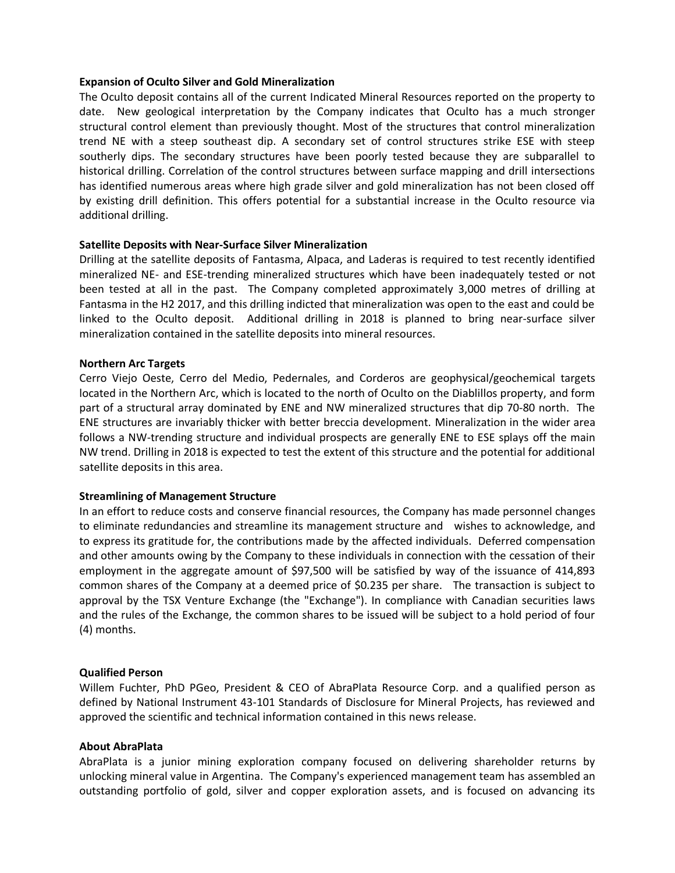#### **Expansion of Oculto Silver and Gold Mineralization**

The Oculto deposit contains all of the current Indicated Mineral Resources reported on the property to date. New geological interpretation by the Company indicates that Oculto has a much stronger structural control element than previously thought. Most of the structures that control mineralization trend NE with a steep southeast dip. A secondary set of control structures strike ESE with steep southerly dips. The secondary structures have been poorly tested because they are subparallel to historical drilling. Correlation of the control structures between surface mapping and drill intersections has identified numerous areas where high grade silver and gold mineralization has not been closed off by existing drill definition. This offers potential for a substantial increase in the Oculto resource via additional drilling.

#### **Satellite Deposits with Near-Surface Silver Mineralization**

Drilling at the satellite deposits of Fantasma, Alpaca, and Laderas is required to test recently identified mineralized NE- and ESE-trending mineralized structures which have been inadequately tested or not been tested at all in the past. The Company completed approximately 3,000 metres of drilling at Fantasma in the H2 2017, and this drilling indicted that mineralization was open to the east and could be linked to the Oculto deposit. Additional drilling in 2018 is planned to bring near-surface silver mineralization contained in the satellite deposits into mineral resources.

#### **Northern Arc Targets**

Cerro Viejo Oeste, Cerro del Medio, Pedernales, and Corderos are geophysical/geochemical targets located in the Northern Arc, which is located to the north of Oculto on the Diablillos property, and form part of a structural array dominated by ENE and NW mineralized structures that dip 70-80 north. The ENE structures are invariably thicker with better breccia development. Mineralization in the wider area follows a NW-trending structure and individual prospects are generally ENE to ESE splays off the main NW trend. Drilling in 2018 is expected to test the extent of this structure and the potential for additional satellite deposits in this area.

# **Streamlining of Management Structure**

In an effort to reduce costs and conserve financial resources, the Company has made personnel changes to eliminate redundancies and streamline its management structure and wishes to acknowledge, and to express its gratitude for, the contributions made by the affected individuals. Deferred compensation and other amounts owing by the Company to these individuals in connection with the cessation of their employment in the aggregate amount of \$97,500 will be satisfied by way of the issuance of 414,893 common shares of the Company at a deemed price of \$0.235 per share. The transaction is subject to approval by the TSX Venture Exchange (the "Exchange"). In compliance with Canadian securities laws and the rules of the Exchange, the common shares to be issued will be subject to a hold period of four (4) months.

#### **Qualified Person**

Willem Fuchter, PhD PGeo, President & CEO of AbraPlata Resource Corp. and a qualified person as defined by National Instrument 43-101 Standards of Disclosure for Mineral Projects, has reviewed and approved the scientific and technical information contained in this news release.

# **About AbraPlata**

AbraPlata is a junior mining exploration company focused on delivering shareholder returns by unlocking mineral value in Argentina. The Company's experienced management team has assembled an outstanding portfolio of gold, silver and copper exploration assets, and is focused on advancing its